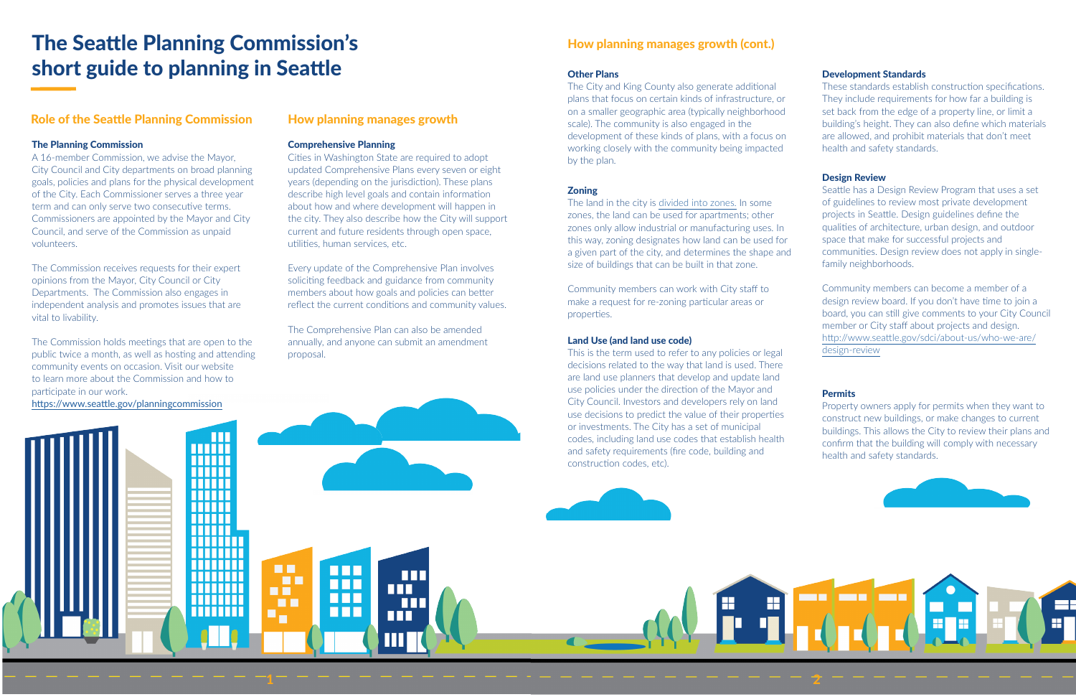### Role of the Seattle Planning Commission

### Comprehensive Planning

Cities in Washington State are required to adopt updated Comprehensive Plans every seven or eight years (depending on the jurisdiction). These plans describe high level goals and contain information about how and where development will happen in the city. They also describe how the City will support current and future residents through open space, utilities, human services, etc.

Every update of the Comprehensive Plan involves soliciting feedback and guidance from community members about how goals and policies can better reflect the current conditions and community values.

The Comprehensive Plan can also be amended annually, and anyone can submit an amendment proposal.

### How planning manages growth

### The Planning Commission

A 16-member Commission, we advise the Mayor, City Council and City departments on broad planning goals, policies and plans for the physical development of the City. Each Commissioner serves a three year term and can only serve two consecutive terms. Commissioners are appointed by the Mayor and City Council, and serve of the Commission as unpaid volunteers.

The Commission receives requests for their expert opinions from the Mayor, City Council or City Departments. The Commission also engages in independent analysis and promotes issues that are vital to livability.

The Commission holds meetings that are open to the public twice a month, as well as hosting and attending community events on occasion. Visit our website to learn more about the Commission and how to participate in our work.

> . . . . . . . . . . . . . . . . . . . . . . .

TITITITI

**HH** 

**DI** 

**HB** 

 $\blacksquare$ 

**HER** 

**HH** 

**HH** 

**THE** 

**THE** 

ш

m

nn

ШГ

<https://www.seattle.gov/planningcommission>

# The Seattle Planning Commission's short guide to planning in Seattle

#### Design Review

Seattle has a Design Review Program that uses a set of guidelines to review most private development projects in Seattle. Design guidelines define the qualities of architecture, urban design, and outdoor space that make for successful projects and communities. Design review does not apply in singlefamily neighborhoods.

Community members can become a member of a design review board. If you don't have time to join a board, you can still give comments to your City Council member or City staff about projects and design. [http://www.seattle.gov/sdci/about-us/who-we-are/](http://www.seattle.gov/sdci/about-us/who-we-are/design-review) [design-review](http://www.seattle.gov/sdci/about-us/who-we-are/design-review)

### **Permits**

### Development Standards

These standards establish construction specifications. They include requirements for how far a building is set back from the edge of a property line, or limit a building's height. They can also define which materials are allowed, and prohibit materials that don't meet health and safety standards.

### How planning manages growth (cont.)

The land in the city is [divided into zones.](https://www.seattle.gov/sdci/codes/codes-we-enforce-(a-z)/zoning) In some zones, the land can be used for apartments; other zones only allow industrial or manufacturing uses. In this way, zoning designates how land can be used for a given part of the city, and determines the shape and size of buildings that can be built in that zone.

Community members can work with City staff to make a request for re-zoning particular areas or properties.

### Other Plans

The City and King County also generate additional plans that focus on certain kinds of infrastructure, or on a smaller geographic area (typically neighborhood scale). The community is also engaged in the development of these kinds of plans, with a focus on working closely with the community being impacted by the plan.

### **Zoning**

### Land Use (and land use code)

This is the term used to refer to any policies or legal decisions related to the way that land is used. There are land use planners that develop and update land use policies under the direction of the Mayor and City Council. Investors and developers rely on land use decisions to predict the value of their properties or investments. The City has a set of municipal codes, including land use codes that establish health and safety requirements (fire code, building and construction codes, etc).

E.

Property owners apply for permits when they want to construct new buildings, or make changes to current buildings. This allows the City to review their plans and confirm that the building will comply with necessary health and safety standards.





2